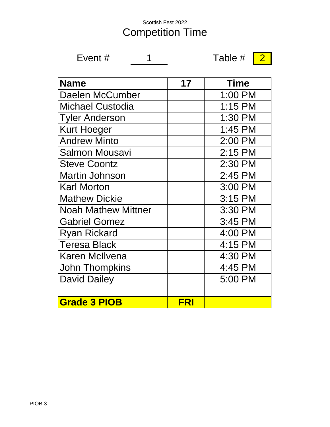#### Scottish Fest 2022 Competition Time

Event  $\#$  1 Table  $\#$  2

| <b>Name</b>                | 17         | <b>Time</b> |
|----------------------------|------------|-------------|
| Daelen McCumber            |            | 1:00 PM     |
| <b>Michael Custodia</b>    |            | 1:15 PM     |
| <b>Tyler Anderson</b>      |            | 1:30 PM     |
| <b>Kurt Hoeger</b>         |            | 1:45 PM     |
| <b>Andrew Minto</b>        |            | 2:00 PM     |
| <b>Salmon Mousavi</b>      |            | 2:15 PM     |
| <b>Steve Coontz</b>        |            | 2:30 PM     |
| <b>Martin Johnson</b>      |            | 2:45 PM     |
| <b>Karl Morton</b>         |            | 3:00 PM     |
| <b>Mathew Dickie</b>       |            | 3:15 PM     |
| <b>Noah Mathew Mittner</b> |            | 3:30 PM     |
| <b>Gabriel Gomez</b>       |            | 3:45 PM     |
| <b>Ryan Rickard</b>        |            | 4:00 PM     |
| <b>Teresa Black</b>        |            | 4:15 PM     |
| <b>Karen McIlvena</b>      |            | 4:30 PM     |
| <b>John Thompkins</b>      |            | 4:45 PM     |
| <b>David Dailey</b>        |            | 5:00 PM     |
|                            |            |             |
| <b>Grade 3 PIOB</b>        | <b>FRI</b> |             |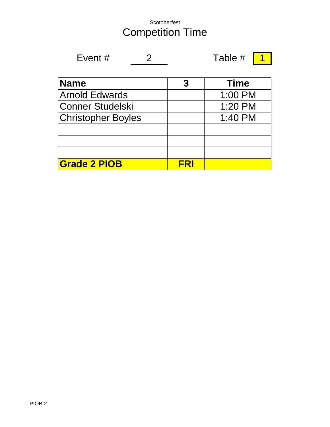#### Scotoberfest Competition Time

| Table # $\boxed{1}$ |
|---------------------|
|---------------------|

$$
f_{\rm{max}}
$$

$$
\# \boxed{1}
$$

| <b>Name</b>               |     | <b>Time</b> |
|---------------------------|-----|-------------|
| <b>Arnold Edwards</b>     |     | 1:00 PM     |
| Conner Studelski          |     | 1:20 PM     |
| <b>Christopher Boyles</b> |     | 1:40 PM     |
|                           |     |             |
|                           |     |             |
|                           |     |             |
| <b>Grade 2 PIOB</b>       | ERI |             |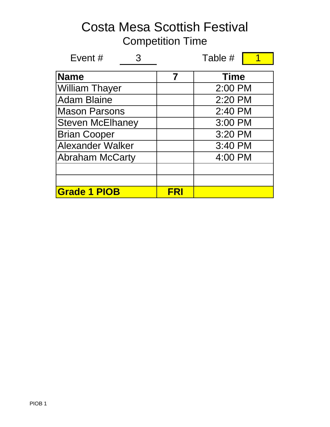| Event $#$               |     | Table #     |
|-------------------------|-----|-------------|
| <b>Name</b>             |     | <b>Time</b> |
| <b>William Thayer</b>   |     | 2:00 PM     |
| <b>Adam Blaine</b>      |     | 2:20 PM     |
| <b>Mason Parsons</b>    |     | 2:40 PM     |
| <b>Steven McElhaney</b> |     | 3:00 PM     |
| <b>Brian Cooper</b>     |     | 3:20 PM     |
| <b>Alexander Walker</b> |     | 3:40 PM     |
| <b>Abraham McCarty</b>  |     | 4:00 PM     |
|                         |     |             |
|                         |     |             |
| <b>Grade 1 PIOB</b>     | FRI |             |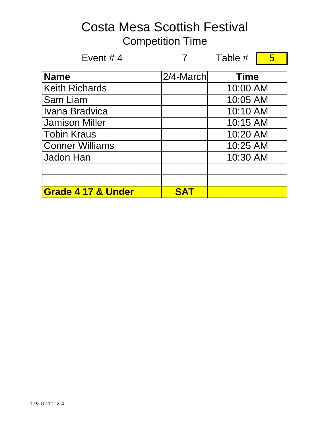| Event #4                      |              | Table #     | 5 |
|-------------------------------|--------------|-------------|---|
| <b>Name</b>                   | $2/4$ -March | <b>Time</b> |   |
| <b>Keith Richards</b>         |              | 10:00 AM    |   |
| Sam Liam                      |              | 10:05 AM    |   |
| Ivana Bradvica                |              | 10:10 AM    |   |
| <b>Jamison Miller</b>         |              | 10:15 AM    |   |
| <b>Tobin Kraus</b>            |              | 10:20 AM    |   |
| <b>Conner Williams</b>        |              | 10:25 AM    |   |
| Jadon Han                     |              | 10:30 AM    |   |
|                               |              |             |   |
|                               |              |             |   |
| <b>Grade 4 17 &amp; Under</b> | <b>SAT</b>   |             |   |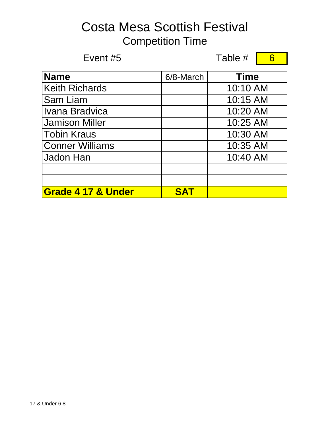Event  $#5$  Table  $#$  6 6/8-March **Name Time** Keith Richards Sam Liam Ivana Bradvica Jamison Miller Tobin Kraus Conner Williams Jadon Han **SAT** 10:30 AM 10:35 AM 10:40 AM **Grade 4 17 & Under** 10:25 AM 10:10 AM 10:15 AM 10:20 AM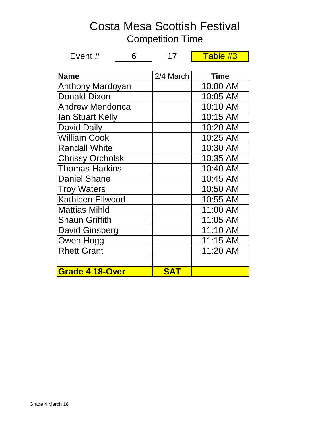| Costa Mesa Scottish Festival<br><b>Competition Time</b> |                     |  |          |  |  |  |
|---------------------------------------------------------|---------------------|--|----------|--|--|--|
| Event #                                                 | Table #3<br>6<br>17 |  |          |  |  |  |
| 2/4 March<br><b>Name</b><br><b>Time</b>                 |                     |  |          |  |  |  |
| <b>Anthony Mardoyan</b>                                 |                     |  | 10:00 AM |  |  |  |

| <b>Grade 4 18-Over</b>   | <b>SAT</b> |                  |
|--------------------------|------------|------------------|
|                          |            |                  |
| <b>Rhett Grant</b>       |            | 11:20 AM         |
| Owen Hogg                |            | 11:15 AM         |
| <b>David Ginsberg</b>    |            | 11:10 AM         |
| <b>Shaun Griffith</b>    |            | 11:05 AM         |
| <b>Mattias Mihld</b>     |            | 11:00 AM         |
| <b>Kathleen Ellwood</b>  |            | 10:55 AM         |
| <b>Troy Waters</b>       |            | 10:50 AM         |
| <b>Daniel Shane</b>      |            | 10:45 AM         |
| <b>Thomas Harkins</b>    |            | 10:40 AM         |
| <b>Chrissy Orcholski</b> |            | 10:35 AM         |
| <b>Randall White</b>     |            | 10:30 AM         |
| <b>William Cook</b>      |            | 10:25 AM         |
| <b>David Daily</b>       |            | 10:20 AM         |
| <b>Ian Stuart Kelly</b>  |            | 10:15 AM         |
| <b>Andrew Mendonca</b>   |            | 10:10 AM         |
| Donald Dixon             |            | 10:05 AM         |
| ATIUJUTY MATUUYAH        |            | ועור <i>ז</i> טע |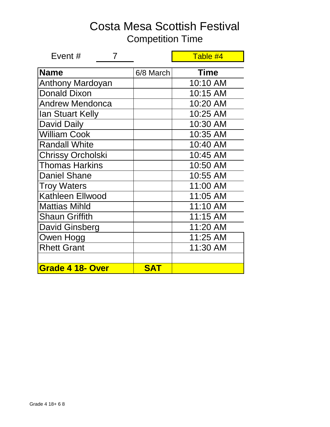| Event $#$                |            | Table #4    |
|--------------------------|------------|-------------|
| <b>Name</b>              | 6/8 March  | <b>Time</b> |
| <b>Anthony Mardoyan</b>  |            | 10:10 AM    |
| <b>Donald Dixon</b>      |            | 10:15 AM    |
| <b>Andrew Mendonca</b>   |            | 10:20 AM    |
| Ian Stuart Kelly         |            | 10:25 AM    |
| <b>David Daily</b>       |            | 10:30 AM    |
| <b>William Cook</b>      |            | 10:35 AM    |
| <b>Randall White</b>     |            | 10:40 AM    |
| <b>Chrissy Orcholski</b> |            | 10:45 AM    |
| <b>Thomas Harkins</b>    |            | 10:50 AM    |
| <b>Daniel Shane</b>      |            | 10:55 AM    |
| <b>Troy Waters</b>       |            | 11:00 AM    |
| <b>Kathleen Ellwood</b>  |            | 11:05 AM    |
| <b>Mattias Mihld</b>     |            | 11:10 AM    |
| <b>Shaun Griffith</b>    |            | 11:15 AM    |
| David Ginsberg           |            | 11:20 AM    |
| Owen Hogg                |            | 11:25 AM    |
| <b>Rhett Grant</b>       |            | 11:30 AM    |
|                          |            |             |
| Grade 4 18- Over         | <b>SAT</b> |             |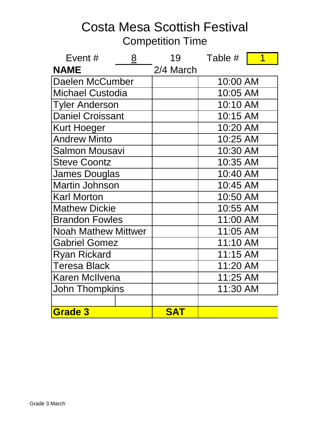| Event#                     | 8 | 19         | Table #  |  |
|----------------------------|---|------------|----------|--|
| <b>NAME</b>                |   | 2/4 March  |          |  |
| Daelen McCumber            |   |            | 10:00 AM |  |
| <b>Michael Custodia</b>    |   |            | 10:05 AM |  |
| <b>Tyler Anderson</b>      |   |            | 10:10 AM |  |
| <b>Daniel Croissant</b>    |   |            | 10:15 AM |  |
| <b>Kurt Hoeger</b>         |   |            | 10:20 AM |  |
| <b>Andrew Minto</b>        |   |            | 10:25 AM |  |
| <b>Salmon Mousavi</b>      |   |            | 10:30 AM |  |
| <b>Steve Coontz</b>        |   |            | 10:35 AM |  |
| <b>James Douglas</b>       |   |            | 10:40 AM |  |
| <b>Martin Johnson</b>      |   |            | 10:45 AM |  |
| <b>Karl Morton</b>         |   |            | 10:50 AM |  |
| <b>Mathew Dickie</b>       |   |            | 10:55 AM |  |
| <b>Brandon Fowles</b>      |   |            | 11:00 AM |  |
| <b>Noah Mathew Mittwer</b> |   |            | 11:05 AM |  |
| <b>Gabriel Gomez</b>       |   |            | 11:10 AM |  |
| <b>Ryan Rickard</b>        |   |            | 11:15 AM |  |
| <b>Teresa Black</b>        |   |            | 11:20 AM |  |
| <b>Karen McIlvena</b>      |   |            | 11:25 AM |  |
| <b>John Thompkins</b>      |   |            | 11:30 AM |  |
|                            |   |            |          |  |
| Grade 3                    |   | <b>SAT</b> |          |  |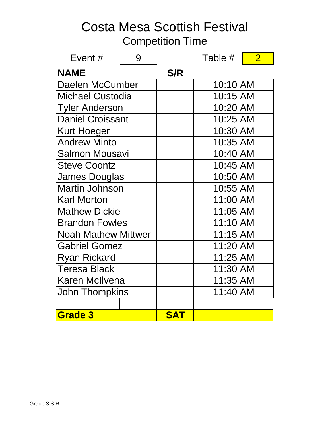| Event#                     | 9 |            | Table #  | $\overline{2}$ |
|----------------------------|---|------------|----------|----------------|
| <b>NAME</b>                |   | S/R        |          |                |
| Daelen McCumber            |   |            | 10:10 AM |                |
| <b>Michael Custodia</b>    |   |            | 10:15 AM |                |
| <b>Tyler Anderson</b>      |   |            | 10:20 AM |                |
| <b>Daniel Croissant</b>    |   |            | 10:25 AM |                |
| <b>Kurt Hoeger</b>         |   |            | 10:30 AM |                |
| <b>Andrew Minto</b>        |   |            | 10:35 AM |                |
| <b>Salmon Mousavi</b>      |   |            | 10:40 AM |                |
| <b>Steve Coontz</b>        |   |            | 10:45 AM |                |
| <b>James Douglas</b>       |   |            | 10:50 AM |                |
| <b>Martin Johnson</b>      |   |            | 10:55 AM |                |
| <b>Karl Morton</b>         |   |            | 11:00 AM |                |
| <b>Mathew Dickie</b>       |   |            | 11:05 AM |                |
| <b>Brandon Fowles</b>      |   |            | 11:10 AM |                |
| <b>Noah Mathew Mittwer</b> |   |            | 11:15 AM |                |
| <b>Gabriel Gomez</b>       |   |            | 11:20 AM |                |
| <b>Ryan Rickard</b>        |   |            | 11:25 AM |                |
| <b>Teresa Black</b>        |   |            | 11:30 AM |                |
| <b>Karen McIlvena</b>      |   |            | 11:35 AM |                |
| <b>John Thompkins</b>      |   |            | 11:40 AM |                |
|                            |   |            |          |                |
| <b>Grade 3</b>             |   | <b>SAT</b> |          |                |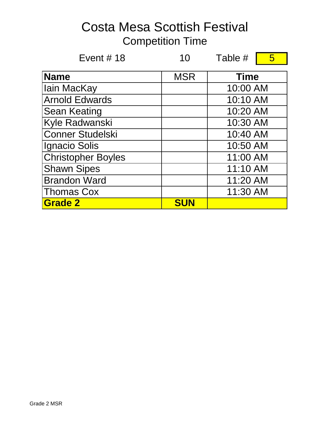| Event $# 18$              | 10         | Table #     | 5 |
|---------------------------|------------|-------------|---|
| <b>Name</b>               | <b>MSR</b> | <b>Time</b> |   |
| lain MacKay               |            | 10:00 AM    |   |
| <b>Arnold Edwards</b>     |            | 10:10 AM    |   |
| <b>Sean Keating</b>       |            | 10:20 AM    |   |
| Kyle Radwanski            |            | 10:30 AM    |   |
| <b>Conner Studelski</b>   |            | 10:40 AM    |   |
| Ignacio Solis             |            | 10:50 AM    |   |
| <b>Christopher Boyles</b> |            | 11:00 AM    |   |
| <b>Shawn Sipes</b>        |            | 11:10 AM    |   |
| <b>Brandon Ward</b>       |            | 11:20 AM    |   |
| <b>Thomas Cox</b>         |            | 11:30 AM    |   |
| <b>Grade 2</b>            | <b>SUN</b> |             |   |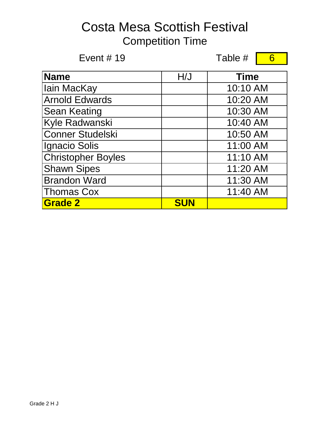Event  $\#$  19 Table  $\#$  6 6

| <b>Name</b>               | H/J        | <b>Time</b> |
|---------------------------|------------|-------------|
| <b>lain MacKay</b>        |            | 10:10 AM    |
| <b>Arnold Edwards</b>     |            | 10:20 AM    |
| <b>Sean Keating</b>       |            | 10:30 AM    |
| Kyle Radwanski            |            | 10:40 AM    |
| <b>Conner Studelski</b>   |            | 10:50 AM    |
| Ignacio Solis             |            | 11:00 AM    |
| <b>Christopher Boyles</b> |            | 11:10 AM    |
| <b>Shawn Sipes</b>        |            | 11:20 AM    |
| <b>Brandon Ward</b>       |            | 11:30 AM    |
| <b>Thomas Cox</b>         |            | 11:40 AM    |
| <b>Grade 2</b>            | <b>SUN</b> |             |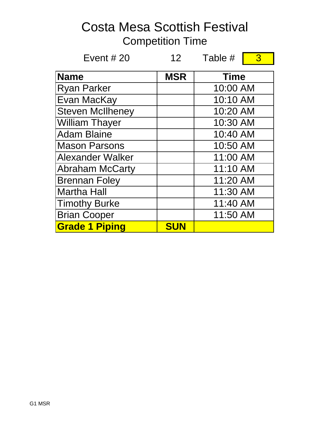| Event $#20$             | 12 <sup>7</sup> | Table #     | 3 |
|-------------------------|-----------------|-------------|---|
| <b>Name</b>             | <b>MSR</b>      | <b>Time</b> |   |
| <b>Ryan Parker</b>      |                 | 10:00 AM    |   |
| Evan MacKay             |                 | 10:10 AM    |   |
| <b>Steven McIlheney</b> |                 | 10:20 AM    |   |
| <b>William Thayer</b>   |                 | 10:30 AM    |   |
| <b>Adam Blaine</b>      |                 | 10:40 AM    |   |
| <b>Mason Parsons</b>    |                 | 10:50 AM    |   |
| <b>Alexander Walker</b> |                 | 11:00 AM    |   |
| <b>Abraham McCarty</b>  |                 | 11:10 AM    |   |
| <b>Brennan Foley</b>    |                 | 11:20 AM    |   |
| <b>Martha Hall</b>      |                 | 11:30 AM    |   |
| <b>Timothy Burke</b>    |                 | 11:40 AM    |   |
| <b>Brian Cooper</b>     |                 | 11:50 AM    |   |
| <b>Grade 1 Piping</b>   | <b>SUN</b>      |             |   |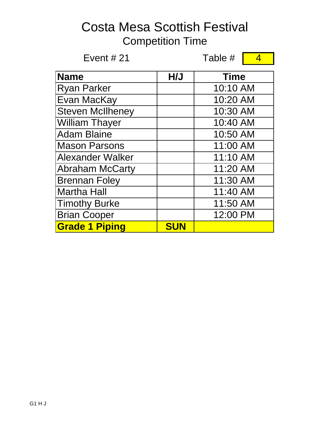| Event $#21$             |            | Table #<br>4 |  |
|-------------------------|------------|--------------|--|
| <b>Name</b>             | H/J        | <b>Time</b>  |  |
| <b>Ryan Parker</b>      |            | 10:10 AM     |  |
| Evan MacKay             |            | 10:20 AM     |  |
| <b>Steven McIlheney</b> |            | 10:30 AM     |  |
| <b>William Thayer</b>   |            | 10:40 AM     |  |
| <b>Adam Blaine</b>      |            | 10:50 AM     |  |
| <b>Mason Parsons</b>    |            | 11:00 AM     |  |
| <b>Alexander Walker</b> |            | 11:10 AM     |  |
| <b>Abraham McCarty</b>  |            | 11:20 AM     |  |
| <b>Brennan Foley</b>    |            | 11:30 AM     |  |
| <b>Martha Hall</b>      |            | 11:40 AM     |  |
| <b>Timothy Burke</b>    |            | 11:50 AM     |  |
| <b>Brian Cooper</b>     |            | 12:00 PM     |  |
| <b>Grade 1 Piping</b>   | <b>SUN</b> |              |  |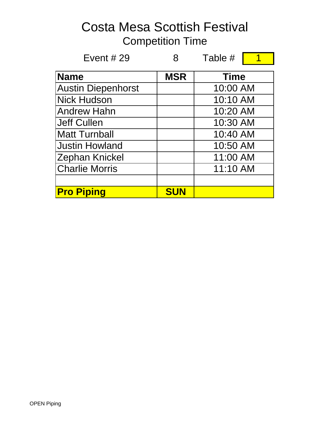| Event $#29$               |            | Table #     |  |
|---------------------------|------------|-------------|--|
| <b>Name</b>               | <b>MSR</b> | <b>Time</b> |  |
| <b>Austin Diepenhorst</b> |            | 10:00 AM    |  |
| <b>Nick Hudson</b>        |            | 10:10 AM    |  |
| <b>Andrew Hahn</b>        |            | 10:20 AM    |  |
| <b>Jeff Cullen</b>        |            | 10:30 AM    |  |
| <b>Matt Turnball</b>      |            | 10:40 AM    |  |
| <b>Justin Howland</b>     |            | 10:50 AM    |  |
| Zephan Knickel            |            | 11:00 AM    |  |
| <b>Charlie Morris</b>     |            | 11:10 AM    |  |
|                           |            |             |  |
| <b>Pro Piping</b>         | <b>SUN</b> |             |  |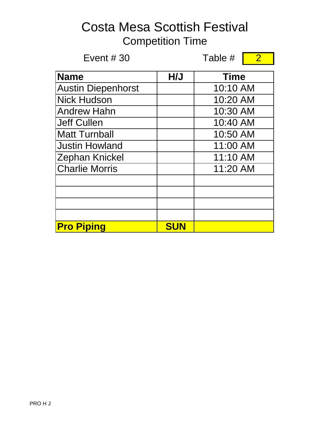| Event $#30$               |            | Table #     | $\overline{2}$ |
|---------------------------|------------|-------------|----------------|
| <b>Name</b>               | H/J        | <b>Time</b> |                |
| <b>Austin Diepenhorst</b> |            | 10:10 AM    |                |
| <b>Nick Hudson</b>        |            | 10:20 AM    |                |
| <b>Andrew Hahn</b>        |            | 10:30 AM    |                |
| <b>Jeff Cullen</b>        |            | 10:40 AM    |                |
| <b>Matt Turnball</b>      |            | 10:50 AM    |                |
| <b>Justin Howland</b>     |            | 11:00 AM    |                |
| <b>Zephan Knickel</b>     |            | 11:10 AM    |                |
| <b>Charlie Morris</b>     |            | 11:20 AM    |                |
|                           |            |             |                |
|                           |            |             |                |
|                           |            |             |                |
| <b>Pro Piping</b>         | <b>SUN</b> |             |                |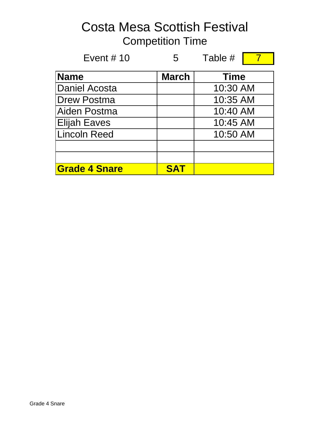| Event $# 10$         | 5            | Table #     |  |
|----------------------|--------------|-------------|--|
| <b>Name</b>          | <b>March</b> | <b>Time</b> |  |
| <b>Daniel Acosta</b> |              | 10:30 AM    |  |
| <b>Drew Postma</b>   |              | 10:35 AM    |  |
| Aiden Postma         |              | 10:40 AM    |  |
| <b>Elijah Eaves</b>  |              | 10:45 AM    |  |
| Lincoln Reed         |              | 10:50 AM    |  |
|                      |              |             |  |
|                      |              |             |  |
| <b>Grade 4 Snare</b> | SAT          |             |  |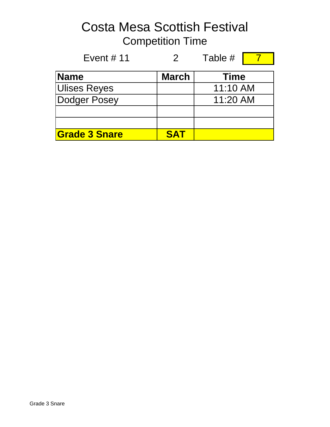Event # 11 2 Table # 7 **Name** March Ulises Reyes Dodger Posey **Grade 3 Snare SAT Time** 11:10 AM 11:20 AM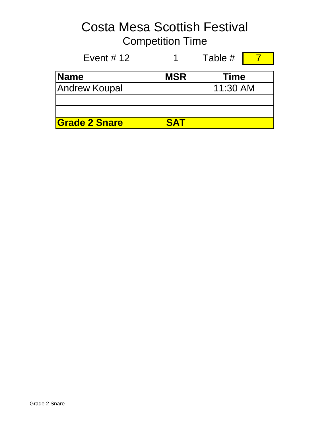Event #  $12$  1 Table #  $7$ Name **MSR** Andrew Koupal **Grade 2 Snare SAT Time** 11:30 AM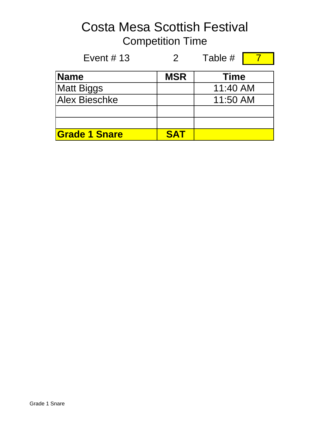| Event # $13$         | 2          | Table #     |  |
|----------------------|------------|-------------|--|
| <b>Name</b>          | <b>MSR</b> | <b>Time</b> |  |
| <b>Matt Biggs</b>    |            | 11:40 AM    |  |
| <b>Alex Bieschke</b> |            | 11:50 AM    |  |
|                      |            |             |  |
|                      |            |             |  |
| <b>Grade 1 Snare</b> | <b>SAT</b> |             |  |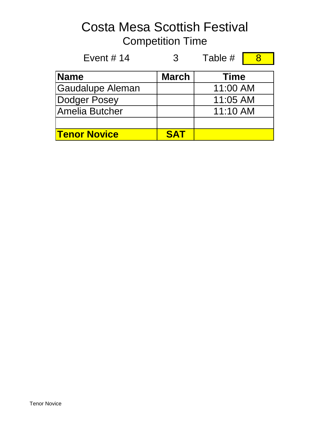| Event # $14$        | 3            | Table #     |  |
|---------------------|--------------|-------------|--|
| <b>Name</b>         | <b>March</b> | <b>Time</b> |  |
| Gaudalupe Aleman    |              | 11:00 AM    |  |
| Dodger Posey        |              | 11:05 AM    |  |
| Amelia Butcher      |              | 11:10 AM    |  |
|                     |              |             |  |
| <b>Tenor Novice</b> | <b>SAT</b>   |             |  |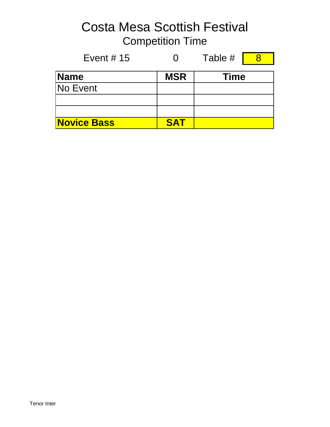Event #  $15$  0 Table #  $8$ 

|  | <b>Service Service</b> |  |
|--|------------------------|--|

| <b>Name</b>        | <b>MSR</b> | <b>Time</b> |
|--------------------|------------|-------------|
| <b>No Event</b>    |            |             |
|                    |            |             |
|                    |            |             |
| <b>Novice Bass</b> | <b>SAT</b> |             |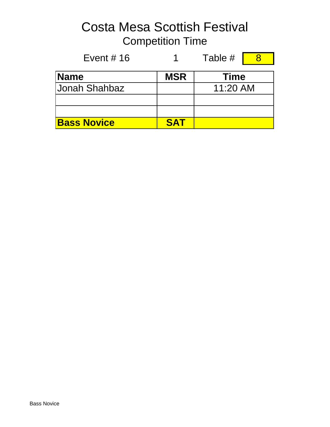Event # 16  $\overline{1}$  1 Table #  $\overline{8}$ Name **MSR** Jonah Shahbaz **Bass Novice SAT Time** 11:20 AM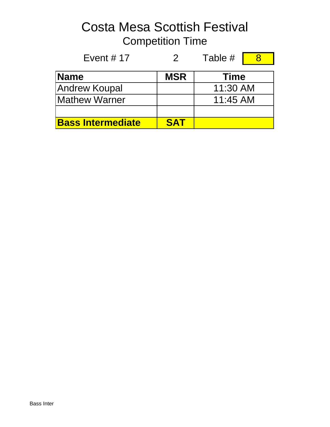| Event # $17$             | $\mathcal{P}$ | Table #     |  |
|--------------------------|---------------|-------------|--|
| <b>Name</b>              | <b>MSR</b>    | <b>Time</b> |  |
| Andrew Koupal            |               | 11:30 AM    |  |
| Mathew Warner            |               | 11:45 AM    |  |
|                          |               |             |  |
| <b>Bass Intermediate</b> | <b>SAT</b>    |             |  |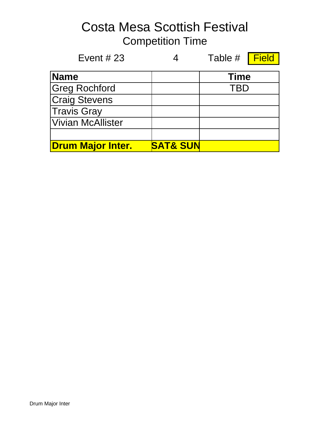| Event # $23$             |                     | Table # Field |  |
|--------------------------|---------------------|---------------|--|
| <b>Name</b>              |                     | <b>Time</b>   |  |
| <b>Greg Rochford</b>     |                     | TBD           |  |
| <b>Craig Stevens</b>     |                     |               |  |
| Travis Gray              |                     |               |  |
| Vivian McAllister        |                     |               |  |
|                          |                     |               |  |
| <b>Drum Major Inter.</b> | <b>SAT&amp; SUN</b> |               |  |